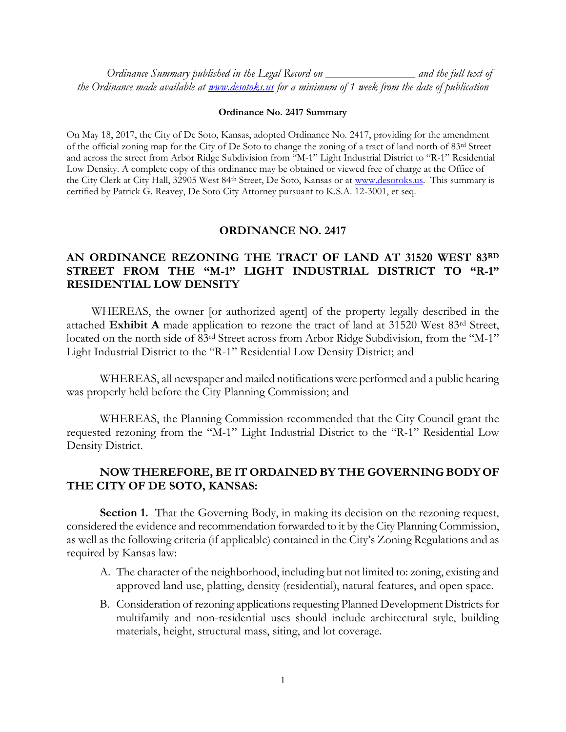*Ordinance Summary published in the Legal Record on \_\_\_\_\_\_\_\_\_\_\_\_\_\_\_ and the full text of the Ordinance made available at [www.desotoks.us](http://www.desotoks.us/) for a minimum of 1 week from the date of publication*

## **Ordinance No. 2417 Summary**

On May 18, 2017, the City of De Soto, Kansas, adopted Ordinance No. 2417, providing for the amendment of the official zoning map for the City of De Soto to change the zoning of a tract of land north of 83rd Street and across the street from Arbor Ridge Subdivision from "M-1" Light Industrial District to "R-1" Residential Low Density. A complete copy of this ordinance may be obtained or viewed free of charge at the Office of the City Clerk at City Hall, 32905 West 84<sup>th</sup> Street, De Soto, Kansas or at [www.desotoks.us.](http://www.desotoks.us/) This summary is certified by Patrick G. Reavey, De Soto City Attorney pursuant to K.S.A. 12-3001, et seq.

## **ORDINANCE NO. 2417**

## **AN ORDINANCE REZONING THE TRACT OF LAND AT 31520 WEST 83RD STREET FROM THE "M-1" LIGHT INDUSTRIAL DISTRICT TO "R-1" RESIDENTIAL LOW DENSITY**

WHEREAS, the owner [or authorized agent] of the property legally described in the attached **Exhibit A** made application to rezone the tract of land at 31520 West 83rd Street, located on the north side of 83rd Street across from Arbor Ridge Subdivision, from the "M-1" Light Industrial District to the "R-1" Residential Low Density District; and

WHEREAS, all newspaper and mailed notifications were performed and a public hearing was properly held before the City Planning Commission; and

WHEREAS, the Planning Commission recommended that the City Council grant the requested rezoning from the "M-1" Light Industrial District to the "R-1" Residential Low Density District.

## **NOW THEREFORE, BE IT ORDAINED BY THE GOVERNING BODY OF THE CITY OF DE SOTO, KANSAS:**

**Section 1.** That the Governing Body, in making its decision on the rezoning request, considered the evidence and recommendation forwarded to it by the City Planning Commission, as well as the following criteria (if applicable) contained in the City's Zoning Regulations and as required by Kansas law:

- A. The character of the neighborhood, including but not limited to: zoning, existing and approved land use, platting, density (residential), natural features, and open space.
- B. Consideration of rezoning applications requesting Planned Development Districts for multifamily and non-residential uses should include architectural style, building materials, height, structural mass, siting, and lot coverage.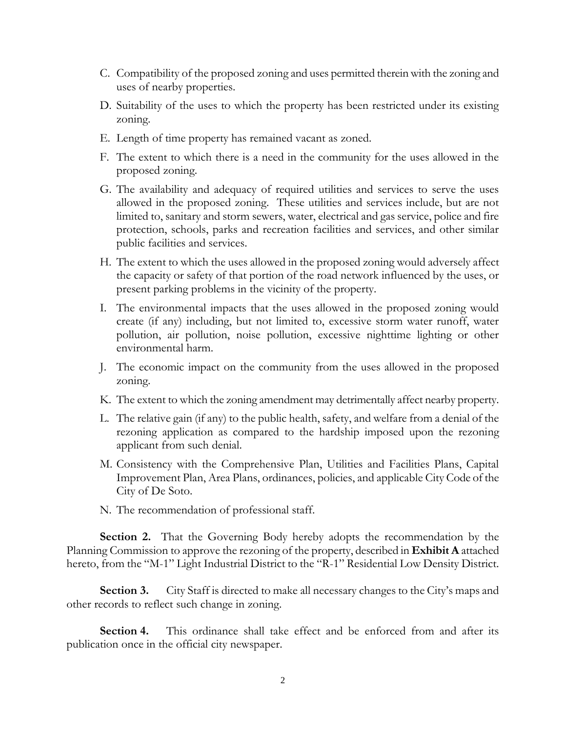- C. Compatibility of the proposed zoning and uses permitted therein with the zoning and uses of nearby properties.
- D. Suitability of the uses to which the property has been restricted under its existing zoning.
- E. Length of time property has remained vacant as zoned.
- F. The extent to which there is a need in the community for the uses allowed in the proposed zoning.
- G. The availability and adequacy of required utilities and services to serve the uses allowed in the proposed zoning. These utilities and services include, but are not limited to, sanitary and storm sewers, water, electrical and gas service, police and fire protection, schools, parks and recreation facilities and services, and other similar public facilities and services.
- H. The extent to which the uses allowed in the proposed zoning would adversely affect the capacity or safety of that portion of the road network influenced by the uses, or present parking problems in the vicinity of the property.
- I. The environmental impacts that the uses allowed in the proposed zoning would create (if any) including, but not limited to, excessive storm water runoff, water pollution, air pollution, noise pollution, excessive nighttime lighting or other environmental harm.
- J. The economic impact on the community from the uses allowed in the proposed zoning.
- K. The extent to which the zoning amendment may detrimentally affect nearby property.
- L. The relative gain (if any) to the public health, safety, and welfare from a denial of the rezoning application as compared to the hardship imposed upon the rezoning applicant from such denial.
- M. Consistency with the Comprehensive Plan, Utilities and Facilities Plans, Capital Improvement Plan, Area Plans, ordinances, policies, and applicable City Code of the City of De Soto.
- N. The recommendation of professional staff.

**Section 2.** That the Governing Body hereby adopts the recommendation by the Planning Commission to approve the rezoning of the property, described in **Exhibit A** attached hereto, from the "M-1" Light Industrial District to the "R-1" Residential Low Density District.

**Section 3.** City Staff is directed to make all necessary changes to the City's maps and other records to reflect such change in zoning.

**Section 4.** This ordinance shall take effect and be enforced from and after its publication once in the official city newspaper.